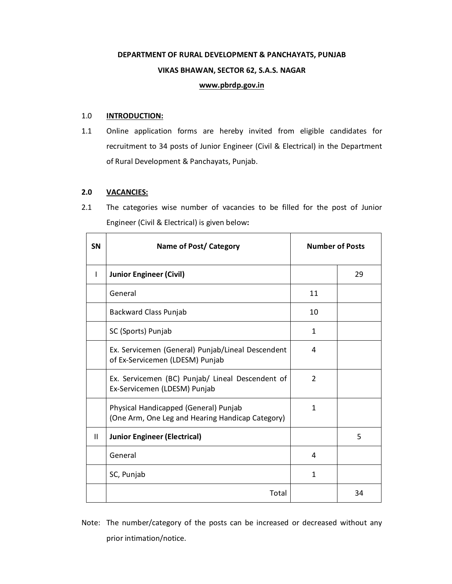# **DEPARTMENT OF RURAL DEVELOPMENT & PANCHAYATS, PUNJAB VIKAS BHAWAN, SECTOR 62, S.A.S. NAGAR www.pbrdp.gov.in**

# 1.0 **INTRODUCTION:**

1.1 Online application forms are hereby invited from eligible candidates for recruitment to 34 posts of Junior Engineer (Civil & Electrical) in the Department of Rural Development & Panchayats, Punjab.

# **2.0 VACANCIES:**

2.1 The categories wise number of vacancies to be filled for the post of Junior Engineer (Civil & Electrical) is given below**:**

| SN           | <b>Name of Post/ Category</b>                                                             | <b>Number of Posts</b> |    |
|--------------|-------------------------------------------------------------------------------------------|------------------------|----|
|              | <b>Junior Engineer (Civil)</b>                                                            |                        | 29 |
|              | General                                                                                   | 11                     |    |
|              | Backward Class Punjab                                                                     | 10                     |    |
|              | SC (Sports) Punjab                                                                        | $\mathbf{1}$           |    |
|              | Ex. Servicemen (General) Punjab/Lineal Descendent<br>of Ex-Servicemen (LDESM) Punjab      | 4                      |    |
|              | Ex. Servicemen (BC) Punjab/ Lineal Descendent of<br>Ex-Servicemen (LDESM) Punjab          | $\overline{2}$         |    |
|              | Physical Handicapped (General) Punjab<br>(One Arm, One Leg and Hearing Handicap Category) | 1                      |    |
| $\mathbf{H}$ | <b>Junior Engineer (Electrical)</b>                                                       |                        | 5  |
|              | General                                                                                   | 4                      |    |
|              | SC, Punjab                                                                                | 1                      |    |
|              | Total                                                                                     |                        | 34 |

Note: The number/category of the posts can be increased or decreased without any prior intimation/notice.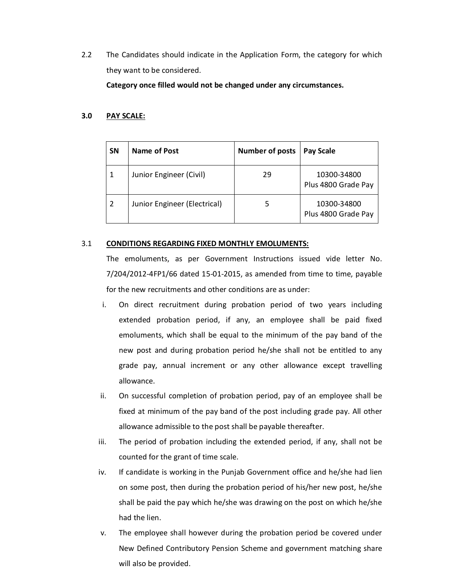2.2 The Candidates should indicate in the Application Form, the category for which they want to be considered.

**Category once filled would not be changed under any circumstances.**

## **3.0 PAY SCALE:**

| <b>SN</b>   | Name of Post                 | <b>Number of posts</b> | <b>Pay Scale</b>                   |
|-------------|------------------------------|------------------------|------------------------------------|
| $\mathbf 1$ | Junior Engineer (Civil)      | 29                     | 10300-34800<br>Plus 4800 Grade Pay |
| 2           | Junior Engineer (Electrical) |                        | 10300-34800<br>Plus 4800 Grade Pay |

## 3.1 **CONDITIONS REGARDING FIXED MONTHLY EMOLUMENTS:**

The emoluments, as per Government Instructions issued vide letter No. 7/204/2012-4FP1/66 dated 15-01-2015, as amended from time to time, payable for the new recruitments and other conditions are as under:

- i. On direct recruitment during probation period of two years including extended probation period, if any, an employee shall be paid fixed emoluments, which shall be equal to the minimum of the pay band of the new post and during probation period he/she shall not be entitled to any grade pay, annual increment or any other allowance except travelling allowance.
- ii. On successful completion of probation period, pay of an employee shall be fixed at minimum of the pay band of the post including grade pay. All other allowance admissible to the post shall be payable thereafter.
- iii. The period of probation including the extended period, if any, shall not be counted for the grant of time scale.
- iv. If candidate is working in the Punjab Government office and he/she had lien on some post, then during the probation period of his/her new post, he/she shall be paid the pay which he/she was drawing on the post on which he/she had the lien.
- v. The employee shall however during the probation period be covered under New Defined Contributory Pension Scheme and government matching share will also be provided.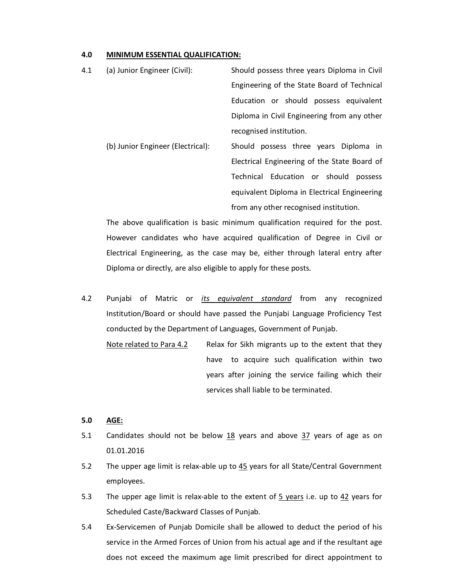### **4.0 MINIMUM ESSENTIAL QUALIFICATION:**

| 4.1 | (a) Junior Engineer (Civil):      | Should possess three years Diploma in Civil  |
|-----|-----------------------------------|----------------------------------------------|
|     |                                   | Engineering of the State Board of Technical  |
|     |                                   | Education or should possess equivalent       |
|     |                                   | Diploma in Civil Engineering from any other  |
|     |                                   | recognised institution.                      |
|     | (b) Junior Engineer (Electrical): | Should possess three years Diploma in        |
|     |                                   | Electrical Engineering of the State Board of |
|     |                                   | Technical Education or should<br>possess     |
|     |                                   | equivalent Diploma in Electrical Engineering |
|     |                                   | from any other recognised institution.       |

The above qualification is basic minimum qualification required for the post. However candidates who have acquired qualification of Degree in Civil or Electrical Engineering, as the case may be, either through lateral entry after Diploma or directly, are also eligible to apply for these posts.

4.2 Punjabi of Matric or *its equivalent standard* from any recognized Institution/Board or should have passed the Punjabi Language Proficiency Test conducted by the Department of Languages, Government of Punjab.

Note related to Para 4.2 Relax for Sikh migrants up to the extent that they have to acquire such qualification within two years after joining the service failing which their services shall liable to be terminated.

# **5.0 AGE:**

- 5.1 Candidates should not be below  $18$  years and above  $37$  years of age as on 01.01.2016
- 5.2 The upper age limit is relax-able up to 45 years for all State/Central Government employees.
- 5.3 The upper age limit is relax-able to the extent of  $5$  years i.e. up to  $42$  years for Scheduled Caste/Backward Classes of Punjab.
- 5.4 Ex-Servicemen of Punjab Domicile shall be allowed to deduct the period of his service in the Armed Forces of Union from his actual age and if the resultant age does not exceed the maximum age limit prescribed for direct appointment to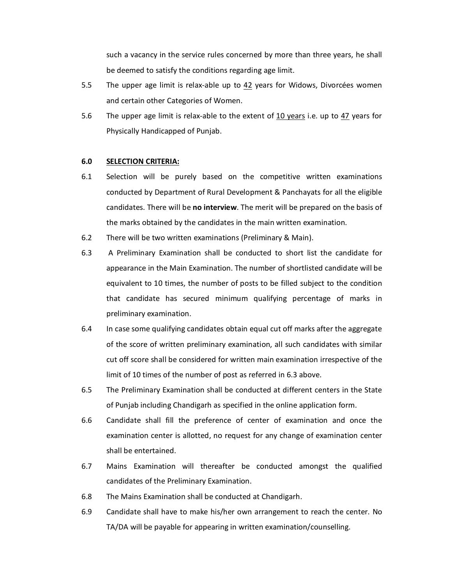such a vacancy in the service rules concerned by more than three years, he shall be deemed to satisfy the conditions regarding age limit.

- 5.5 The upper age limit is relax-able up to 42 years for Widows, Divorcées women and certain other Categories of Women.
- 5.6 The upper age limit is relax-able to the extent of 10 years i.e. up to 47 years for Physically Handicapped of Punjab.

## **6.0 SELECTION CRITERIA:**

- 6.1 Selection will be purely based on the competitive written examinations conducted by Department of Rural Development & Panchayats for all the eligible candidates. There will be **no interview**. The merit will be prepared on the basis of the marks obtained by the candidates in the main written examination.
- 6.2 There will be two written examinations (Preliminary & Main).
- 6.3 A Preliminary Examination shall be conducted to short list the candidate for appearance in the Main Examination. The number of shortlisted candidate will be equivalent to 10 times, the number of posts to be filled subject to the condition that candidate has secured minimum qualifying percentage of marks in preliminary examination.
- 6.4 In case some qualifying candidates obtain equal cut off marks after the aggregate of the score of written preliminary examination, all such candidates with similar cut off score shall be considered for written main examination irrespective of the limit of 10 times of the number of post as referred in 6.3 above.
- 6.5 The Preliminary Examination shall be conducted at different centers in the State of Punjab including Chandigarh as specified in the online application form.
- 6.6 Candidate shall fill the preference of center of examination and once the examination center is allotted, no request for any change of examination center shall be entertained.
- 6.7 Mains Examination will thereafter be conducted amongst the qualified candidates of the Preliminary Examination.
- 6.8 The Mains Examination shall be conducted at Chandigarh.
- 6.9 Candidate shall have to make his/her own arrangement to reach the center. No TA/DA will be payable for appearing in written examination/counselling.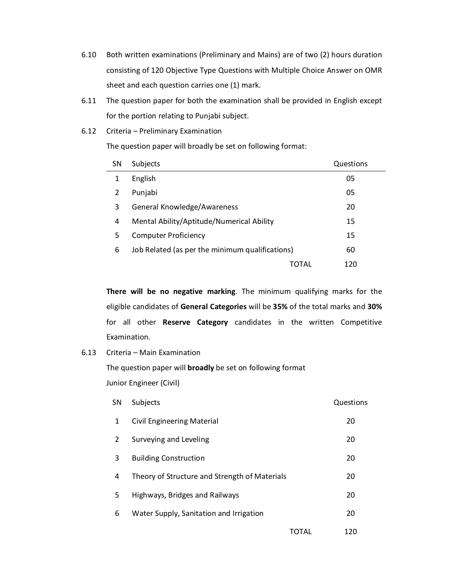- 6.10 Both written examinations (Preliminary and Mains) are of two (2) hours duration consisting of 120 Objective Type Questions with Multiple Choice Answer on OMR sheet and each question carries one (1) mark.
- 6.11 The question paper for both the examination shall be provided in English except for the portion relating to Punjabi subject.
- 6.12 Criteria Preliminary Examination

The question paper will broadly be set on following format:

| <b>SN</b> | Subjects                                        | Questions |
|-----------|-------------------------------------------------|-----------|
| 1         | English                                         | 05        |
| 2         | Punjabi                                         | 05        |
| 3         | General Knowledge/Awareness                     | 20        |
| 4         | Mental Ability/Aptitude/Numerical Ability       | 15        |
| 5         | <b>Computer Proficiency</b>                     | 15        |
| 6         | Job Related (as per the minimum qualifications) | 60        |
|           | TOTAL                                           | 120       |

**There will be no negative marking**. The minimum qualifying marks for the eligible candidates of **General Categories** will be **35%** of the total marks and **30%** for all other **Reserve Category** candidates in the written Competitive Examination.

# 6.13 Criteria – Main Examination

The question paper will **broadly** be set on following format Junior Engineer (Civil)

| <b>SN</b> | <b>Subjects</b>                               |       | Questions |
|-----------|-----------------------------------------------|-------|-----------|
| 1         | <b>Civil Engineering Material</b>             |       | 20        |
| 2         | Surveying and Leveling                        |       | 20        |
| 3         | <b>Building Construction</b>                  |       | 20        |
| 4         | Theory of Structure and Strength of Materials |       | 20        |
| 5         | Highways, Bridges and Railways                |       | 20        |
| 6         | Water Supply, Sanitation and Irrigation       |       | 20        |
|           |                                               | TOTAL | 120       |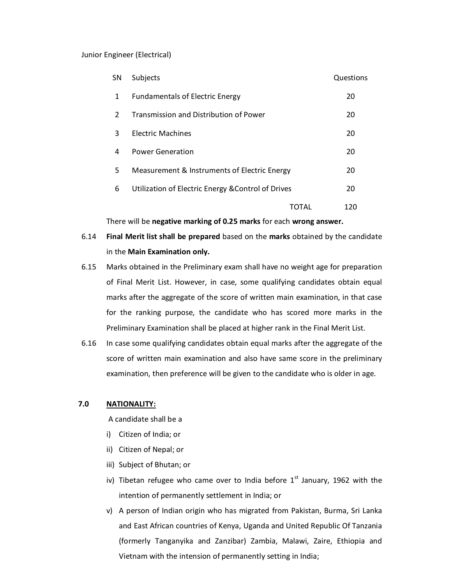### Junior Engineer (Electrical)

| <b>SN</b> | <b>Subjects</b>                                    |       | Questions |
|-----------|----------------------------------------------------|-------|-----------|
| 1         | <b>Fundamentals of Electric Energy</b>             |       | 20        |
| 2         | <b>Transmission and Distribution of Power</b>      |       | 20        |
| 3         | <b>Flectric Machines</b>                           |       | 20        |
| 4         | <b>Power Generation</b>                            |       | 20        |
| 5.        | Measurement & Instruments of Electric Energy       |       | 20        |
| 6         | Utilization of Electric Energy & Control of Drives |       | 20        |
|           |                                                    | TOTAL | 120       |

There will be **negative marking of 0.25 marks** for each **wrong answer.**

- 6.14 **Final Merit list shall be prepared** based on the **marks** obtained by the candidate in the **Main Examination only.**
- 6.15 Marks obtained in the Preliminary exam shall have no weight age for preparation of Final Merit List. However, in case, some qualifying candidates obtain equal marks after the aggregate of the score of written main examination, in that case for the ranking purpose, the candidate who has scored more marks in the Preliminary Examination shall be placed at higher rank in the Final Merit List.
- 6.16 In case some qualifying candidates obtain equal marks after the aggregate of the score of written main examination and also have same score in the preliminary examination, then preference will be given to the candidate who is older in age.

# **7.0 NATIONALITY:**

A candidate shall be a

- i) Citizen of India; or
- ii) Citizen of Nepal; or
- iii) Subject of Bhutan; or
- iv) Tibetan refugee who came over to India before  $1<sup>st</sup>$  January, 1962 with the intention of permanently settlement in India; or
- v) A person of Indian origin who has migrated from Pakistan, Burma, Sri Lanka and East African countries of Kenya, Uganda and United Republic Of Tanzania (formerly Tanganyika and Zanzibar) Zambia, Malawi, Zaire, Ethiopia and Vietnam with the intension of permanently setting in India;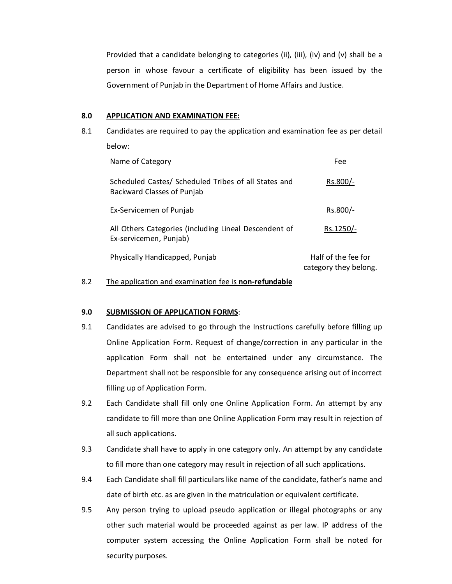Provided that a candidate belonging to categories (ii), (iii), (iv) and (v) shall be a person in whose favour a certificate of eligibility has been issued by the Government of Punjab in the Department of Home Affairs and Justice.

## **8.0 APPLICATION AND EXAMINATION FEE:**

8.1 Candidates are required to pay the application and examination fee as per detail below:

| Name of Category                                                                   | Fee                                          |
|------------------------------------------------------------------------------------|----------------------------------------------|
| Scheduled Castes/ Scheduled Tribes of all States and<br>Backward Classes of Punjab | Rs.800/-                                     |
| Ex-Servicemen of Punjab                                                            | Rs.800/-                                     |
| All Others Categories (including Lineal Descendent of<br>Ex-servicemen, Punjab)    | Rs.1250/-                                    |
| Physically Handicapped, Punjab                                                     | Half of the fee for<br>category they belong. |

8.2 The application and examination fee is **non-refundable**

# **9.0 SUBMISSION OF APPLICATION FORMS**:

- 9.1 Candidates are advised to go through the Instructions carefully before filling up Online Application Form. Request of change/correction in any particular in the application Form shall not be entertained under any circumstance. The Department shall not be responsible for any consequence arising out of incorrect filling up of Application Form.
- 9.2 Each Candidate shall fill only one Online Application Form. An attempt by any candidate to fill more than one Online Application Form may result in rejection of all such applications.
- 9.3 Candidate shall have to apply in one category only. An attempt by any candidate to fill more than one category may result in rejection of all such applications.
- 9.4 Each Candidate shall fill particulars like name of the candidate, father's name and date of birth etc. as are given in the matriculation or equivalent certificate.
- 9.5 Any person trying to upload pseudo application or illegal photographs or any other such material would be proceeded against as per law. IP address of the computer system accessing the Online Application Form shall be noted for security purposes.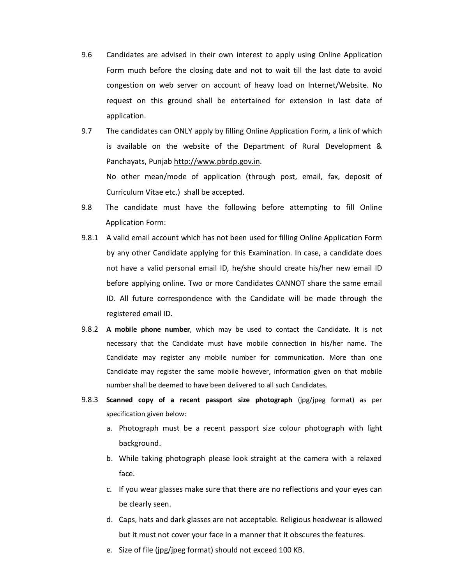- 9.6 Candidates are advised in their own interest to apply using Online Application Form much before the closing date and not to wait till the last date to avoid congestion on web server on account of heavy load on Internet/Website. No request on this ground shall be entertained for extension in last date of application.
- 9.7 The candidates can ONLY apply by filling Online Application Form, a link of which is available on the website of the Department of Rural Development & Panchayats, Punjab http://www.pbrdp.gov.in. No other mean/mode [of application \(th](http://www.pbrdp.gov.in/)rough post, email, fax, deposit of Curriculum Vitae etc.) shall be accepted.
- 9.8 The candidate must have the following before attempting to fill Online Application Form:
- 9.8.1 A valid email account which has not been used for filling Online Application Form by any other Candidate applying for this Examination. In case, a candidate does not have a valid personal email ID, he/she should create his/her new email ID before applying online. Two or more Candidates CANNOT share the same email ID. All future correspondence with the Candidate will be made through the registered email ID.
- 9.8.2 **A mobile phone number**, which may be used to contact the Candidate. It is not necessary that the Candidate must have mobile connection in his/her name. The Candidate may register any mobile number for communication. More than one Candidate may register the same mobile however, information given on that mobile number shall be deemed to have been delivered to all such Candidates.
- 9.8.3 **Scanned copy of a recent passport size photograph** (jpg/jpeg format) as per specification given below:
	- a. Photograph must be a recent passport size colour photograph with light background.
	- b. While taking photograph please look straight at the camera with a relaxed face.
	- c. If you wear glasses make sure that there are no reflections and your eyes can be clearly seen.
	- d. Caps, hats and dark glasses are not acceptable. Religious headwear is allowed but it must not cover your face in a manner that it obscures the features.
	- e. Size of file (jpg/jpeg format) should not exceed 100 KB.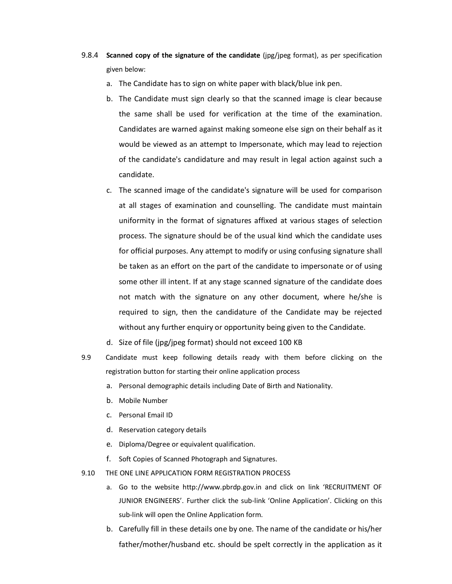- 9.8.4 **Scanned copy of the signature of the candidate** (jpg/jpeg format), as per specification given below:
	- a. The Candidate has to sign on white paper with black/blue ink pen.
	- b. The Candidate must sign clearly so that the scanned image is clear because the same shall be used for verification at the time of the examination. Candidates are warned against making someone else sign on their behalf as it would be viewed as an attempt to Impersonate, which may lead to rejection of the candidate's candidature and may result in legal action against such a candidate.
	- c. The scanned image of the candidate's signature will be used for comparison at all stages of examination and counselling. The candidate must maintain uniformity in the format of signatures affixed at various stages of selection process. The signature should be of the usual kind which the candidate uses for official purposes. Any attempt to modify or using confusing signature shall be taken as an effort on the part of the candidate to impersonate or of using some other ill intent. If at any stage scanned signature of the candidate does not match with the signature on any other document, where he/she is required to sign, then the candidature of the Candidate may be rejected without any further enquiry or opportunity being given to the Candidate.
	- d. Size of file (jpg/jpeg format) should not exceed 100 KB
- 9.9 Candidate must keep following details ready with them before clicking on the registration button for starting their online application process
	- a. Personal demographic details including Date of Birth and Nationality.
	- b. Mobile Number
	- c. Personal Email ID
	- d. Reservation category details
	- e. Diploma/Degree or equivalent qualification.
	- f. Soft Copies of Scanned Photograph and Signatures.
- 9.10 THE ONE LINE APPLICATION FORM REGISTRATION PROCESS
	- a. Go to the website http://www.pbrdp.gov.in and click on link 'RECRUITMENT OF JUNIOR ENGINEERS'. Further click the sub-link 'Online Application'. Clicking on this sub-link will open the Online Application form.
	- b. Carefully fill in these details one by one. The name of the candidate or his/her father/mother/husband etc. should be spelt correctly in the application as it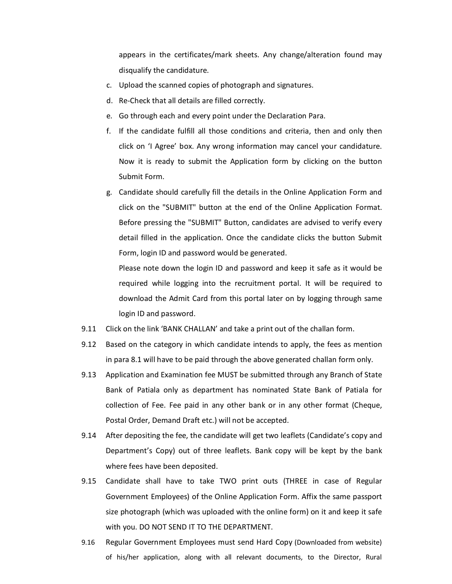appears in the certificates/mark sheets. Any change/alteration found may disqualify the candidature.

- c. Upload the scanned copies of photograph and signatures.
- d. Re-Check that all details are filled correctly.
- e. Go through each and every point under the Declaration Para.
- f. If the candidate fulfill all those conditions and criteria, then and only then click on 'I Agree' box. Any wrong information may cancel your candidature. Now it is ready to submit the Application form by clicking on the button Submit Form.
- g. Candidate should carefully fill the details in the Online Application Form and click on the "SUBMIT" button at the end of the Online Application Format. Before pressing the "SUBMIT" Button, candidates are advised to verify every detail filled in the application. Once the candidate clicks the button Submit Form, login ID and password would be generated.

Please note down the login ID and password and keep it safe as it would be required while logging into the recruitment portal. It will be required to download the Admit Card from this portal later on by logging through same login ID and password.

- 9.11 Click on the link 'BANK CHALLAN' and take a print out of the challan form.
- 9.12 Based on the category in which candidate intends to apply, the fees as mention in para 8.1 will have to be paid through the above generated challan form only.
- 9.13 Application and Examination fee MUST be submitted through any Branch of State Bank of Patiala only as department has nominated State Bank of Patiala for collection of Fee. Fee paid in any other bank or in any other format (Cheque, Postal Order, Demand Draft etc.) will not be accepted.
- 9.14 After depositing the fee, the candidate will get two leaflets (Candidate's copy and Department's Copy) out of three leaflets. Bank copy will be kept by the bank where fees have been deposited.
- 9.15 Candidate shall have to take TWO print outs (THREE in case of Regular Government Employees) of the Online Application Form. Affix the same passport size photograph (which was uploaded with the online form) on it and keep it safe with you. DO NOT SEND IT TO THE DEPARTMENT.
- 9.16 Regular Government Employees must send Hard Copy (Downloaded from website) of his/her application, along with all relevant documents, to the Director, Rural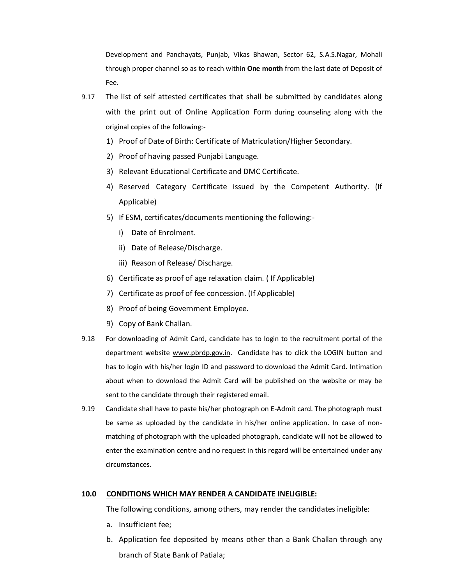Development and Panchayats, Punjab, Vikas Bhawan, Sector 62, S.A.S.Nagar, Mohali through proper channel so as to reach within **One month** from the last date of Deposit of Fee.

- 9.17 The list of self attested certificates that shall be submitted by candidates along with the print out of Online Application Form during counseling along with the original copies of the following:-
	- 1) Proof of Date of Birth: Certificate of Matriculation/Higher Secondary.
	- 2) Proof of having passed Punjabi Language.
	- 3) Relevant Educational Certificate and DMC Certificate.
	- 4) Reserved Category Certificate issued by the Competent Authority. (If Applicable)
	- 5) If ESM, certificates/documents mentioning the following:
		- i) Date of Enrolment.
		- ii) Date of Release/Discharge.
		- iii) Reason of Release/ Discharge.
	- 6) Certificate as proof of age relaxation claim. ( If Applicable)
	- 7) Certificate as proof of fee concession. (If Applicable)
	- 8) Proof of being Government Employee.
	- 9) Copy of Bank Challan.
- 9.18 For downloading of Admit Card, candidate has to login to the recruitment portal of the department website www.pbrdp.gov.in. Candidate has to click the LOGIN button and has to login with his/her [login ID and p](http://www.pbrdp.gov.in/)assword to download the Admit Card. Intimation about when to download the Admit Card will be published on the website or may be sent to the candidate through their registered email.
- 9.19 Candidate shall have to paste his/her photograph on E-Admit card. The photograph must be same as uploaded by the candidate in his/her online application. In case of nonmatching of photograph with the uploaded photograph, candidate will not be allowed to enter the examination centre and no request in this regard will be entertained under any circumstances.

## **10.0 CONDITIONS WHICH MAY RENDER A CANDIDATE INELIGIBLE:**

The following conditions, among others, may render the candidates ineligible:

- a. Insufficient fee;
- b. Application fee deposited by means other than a Bank Challan through any branch of State Bank of Patiala;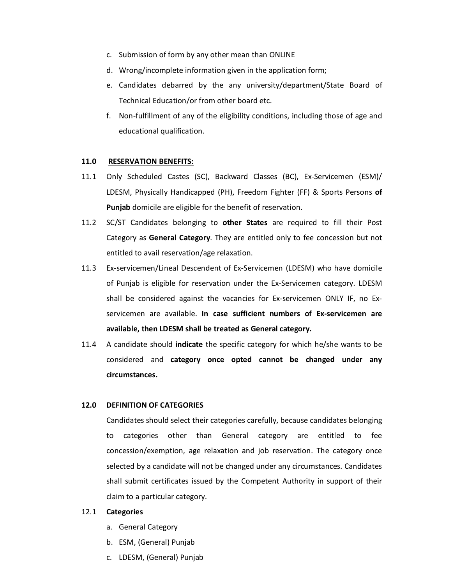- c. Submission of form by any other mean than ONLINE
- d. Wrong/incomplete information given in the application form;
- e. Candidates debarred by the any university/department/State Board of Technical Education/or from other board etc.
- f. Non-fulfillment of any of the eligibility conditions, including those of age and educational qualification.

### **11.0 RESERVATION BENEFITS:**

- 11.1 Only Scheduled Castes (SC), Backward Classes (BC), Ex-Servicemen (ESM)/ LDESM, Physically Handicapped (PH), Freedom Fighter (FF) & Sports Persons **of Punjab** domicile are eligible for the benefit of reservation.
- 11.2 SC/ST Candidates belonging to **other States** are required to fill their Post Category as **General Category**. They are entitled only to fee concession but not entitled to avail reservation/age relaxation.
- 11.3 Ex-servicemen/Lineal Descendent of Ex-Servicemen (LDESM) who have domicile of Punjab is eligible for reservation under the Ex-Servicemen category. LDESM shall be considered against the vacancies for Ex-servicemen ONLY IF, no Exservicemen are available. **In case sufficient numbers of Ex-servicemen are available, then LDESM shall be treated as General category.**
- 11.4 A candidate should **indicate** the specific category for which he/she wants to be considered and **category once opted cannot be changed under any circumstances.**

# **12.0 DEFINITION OF CATEGORIES**

Candidates should select their categories carefully, because candidates belonging to categories other than General category are entitled to fee concession/exemption, age relaxation and job reservation. The category once selected by a candidate will not be changed under any circumstances. Candidates shall submit certificates issued by the Competent Authority in support of their claim to a particular category.

# 12.1 **Categories**

- a. General Category
- b. ESM, (General) Punjab
- c. LDESM, (General) Punjab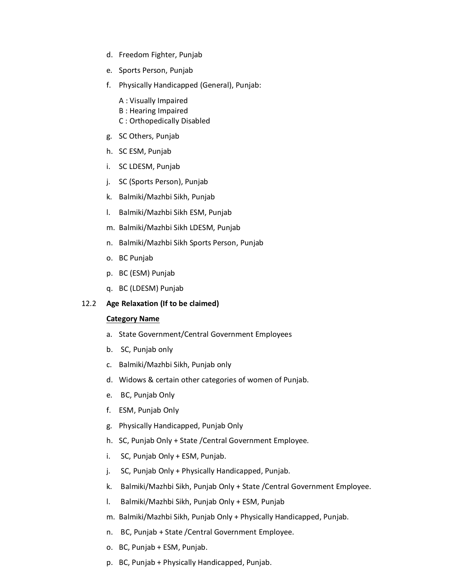- d. Freedom Fighter, Punjab
- e. Sports Person, Punjab
- f. Physically Handicapped (General), Punjab:
	- A : Visually Impaired
	- B : Hearing Impaired
	- C : Orthopedically Disabled
- g. SC Others, Punjab
- h. SC ESM, Punjab
- i. SC LDESM, Punjab
- j. SC (Sports Person), Punjab
- k. Balmiki/Mazhbi Sikh, Punjab
- l. Balmiki/Mazhbi Sikh ESM, Punjab
- m. Balmiki/Mazhbi Sikh LDESM, Punjab
- n. Balmiki/Mazhbi Sikh Sports Person, Punjab
- o. BC Punjab
- p. BC (ESM) Punjab
- q. BC (LDESM) Punjab

# 12.2 **Age Relaxation (If to be claimed)**

### **Category Name**

- a. State Government/Central Government Employees
- b. SC, Punjab only
- c. Balmiki/Mazhbi Sikh, Punjab only
- d. Widows & certain other categories of women of Punjab.
- e. BC, Punjab Only
- f. ESM, Punjab Only
- g. Physically Handicapped, Punjab Only
- h. SC, Punjab Only + State /Central Government Employee.
- i. SC, Punjab Only + ESM, Punjab.
- j. SC, Punjab Only + Physically Handicapped, Punjab.
- k. Balmiki/Mazhbi Sikh, Punjab Only + State /Central Government Employee.
- l. Balmiki/Mazhbi Sikh, Punjab Only + ESM, Punjab
- m. Balmiki/Mazhbi Sikh, Punjab Only + Physically Handicapped, Punjab.
- n. BC, Punjab + State /Central Government Employee.
- o. BC, Punjab + ESM, Punjab.
- p. BC, Punjab + Physically Handicapped, Punjab.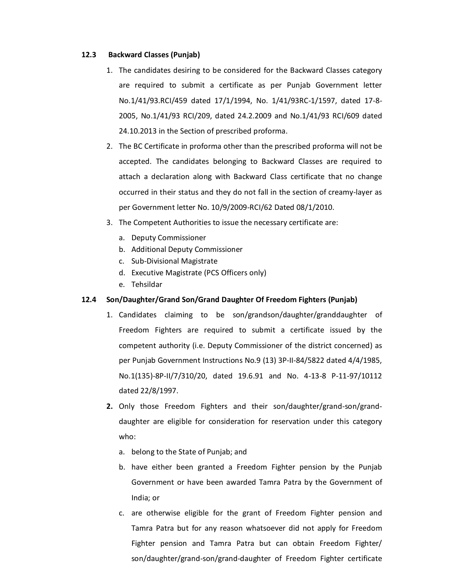## **12.3 Backward Classes (Punjab)**

- 1. The candidates desiring to be considered for the Backward Classes category are required to submit a certificate as per Punjab Government letter No.1/41/93.RCI/459 dated 17/1/1994, No. 1/41/93RC-1/1597, dated 17-8- 2005, No.1/41/93 RCI/209, dated 24.2.2009 and No.1/41/93 RCI/609 dated 24.10.2013 in the Section of prescribed proforma.
- 2. The BC Certificate in proforma other than the prescribed proforma will not be accepted. The candidates belonging to Backward Classes are required to attach a declaration along with Backward Class certificate that no change occurred in their status and they do not fall in the section of creamy-layer as per Government letter No. 10/9/2009-RCI/62 Dated 08/1/2010.
- 3. The Competent Authorities to issue the necessary certificate are:
	- a. Deputy Commissioner
	- b. Additional Deputy Commissioner
	- c. Sub-Divisional Magistrate
	- d. Executive Magistrate (PCS Officers only)
	- e. Tehsildar

# **12.4 Son/Daughter/Grand Son/Grand Daughter Of Freedom Fighters (Punjab)**

- 1. Candidates claiming to be son/grandson/daughter/granddaughter of Freedom Fighters are required to submit a certificate issued by the competent authority (i.e. Deputy Commissioner of the district concerned) as per Punjab Government Instructions No.9 (13) 3P-II-84/5822 dated 4/4/1985, No.1(135)-8P-II/7/310/20, dated 19.6.91 and No. 4-13-8 P-11-97/10112 dated 22/8/1997.
- **2.** Only those Freedom Fighters and their son/daughter/grand-son/granddaughter are eligible for consideration for reservation under this category who:
	- a. belong to the State of Punjab; and
	- b. have either been granted a Freedom Fighter pension by the Punjab Government or have been awarded Tamra Patra by the Government of India; or
	- c. are otherwise eligible for the grant of Freedom Fighter pension and Tamra Patra but for any reason whatsoever did not apply for Freedom Fighter pension and Tamra Patra but can obtain Freedom Fighter/ son/daughter/grand-son/grand-daughter of Freedom Fighter certificate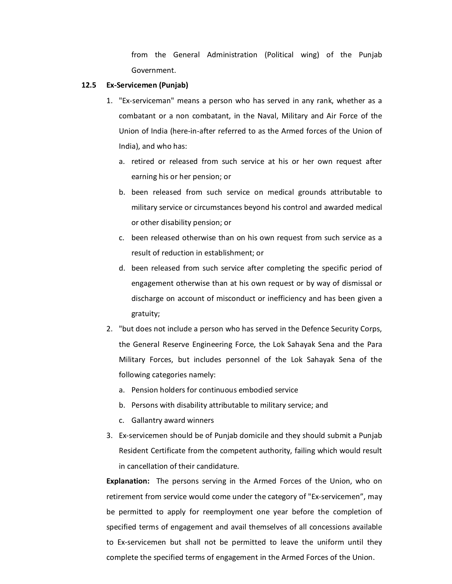from the General Administration (Political wing) of the Punjab Government.

#### **12.5 Ex-Servicemen (Punjab)**

- 1. "Ex-serviceman" means a person who has served in any rank, whether as a combatant or a non combatant, in the Naval, Military and Air Force of the Union of India (here-in-after referred to as the Armed forces of the Union of India), and who has:
	- a. retired or released from such service at his or her own request after earning his or her pension; or
	- b. been released from such service on medical grounds attributable to military service or circumstances beyond his control and awarded medical or other disability pension; or
	- c. been released otherwise than on his own request from such service as a result of reduction in establishment; or
	- d. been released from such service after completing the specific period of engagement otherwise than at his own request or by way of dismissal or discharge on account of misconduct or inefficiency and has been given a gratuity;
- 2. "but does not include a person who has served in the Defence Security Corps, the General Reserve Engineering Force, the Lok Sahayak Sena and the Para Military Forces, but includes personnel of the Lok Sahayak Sena of the following categories namely:
	- a. Pension holders for continuous embodied service
	- b. Persons with disability attributable to military service; and
	- c. Gallantry award winners
- 3. Ex-servicemen should be of Punjab domicile and they should submit a Punjab Resident Certificate from the competent authority, failing which would result in cancellation of their candidature.

**Explanation:** The persons serving in the Armed Forces of the Union, who on retirement from service would come under the category of "Ex-servicemen", may be permitted to apply for reemployment one year before the completion of specified terms of engagement and avail themselves of all concessions available to Ex-servicemen but shall not be permitted to leave the uniform until they complete the specified terms of engagement in the Armed Forces of the Union.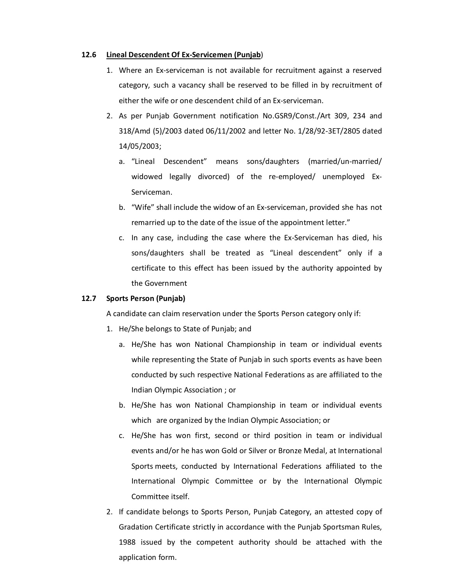### **12.6 Lineal Descendent Of Ex-Servicemen (Punjab**)

- 1. Where an Ex-serviceman is not available for recruitment against a reserved category, such a vacancy shall be reserved to be filled in by recruitment of either the wife or one descendent child of an Ex-serviceman.
- 2. As per Punjab Government notification No.GSR9/Const./Art 309, 234 and 318/Amd (5)/2003 dated 06/11/2002 and letter No. 1/28/92-3ET/2805 dated 14/05/2003;
	- a. "Lineal Descendent" means sons/daughters (married/un-married/ widowed legally divorced) of the re-employed/ unemployed Ex-Serviceman.
	- b. "Wife" shall include the widow of an Ex-serviceman, provided she has not remarried up to the date of the issue of the appointment letter."
	- c. In any case, including the case where the Ex-Serviceman has died, his sons/daughters shall be treated as "Lineal descendent" only if a certificate to this effect has been issued by the authority appointed by the Government

### **12.7 Sports Person (Punjab)**

A candidate can claim reservation under the Sports Person category only if:

- 1. He/She belongs to State of Punjab; and
	- a. He/She has won National Championship in team or individual events while representing the State of Punjab in such sports events as have been conducted by such respective National Federations as are affiliated to the Indian Olympic Association ; or
	- b. He/She has won National Championship in team or individual events which are organized by the Indian Olympic Association; or
	- c. He/She has won first, second or third position in team or individual events and/or he has won Gold or Silver or Bronze Medal, at International Sports meets, conducted by International Federations affiliated to the International Olympic Committee or by the International Olympic Committee itself.
- 2. If candidate belongs to Sports Person, Punjab Category, an attested copy of Gradation Certificate strictly in accordance with the Punjab Sportsman Rules, 1988 issued by the competent authority should be attached with the application form.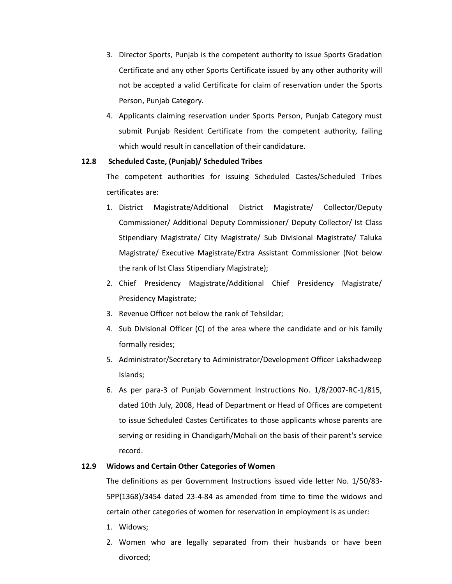- 3. Director Sports, Punjab is the competent authority to issue Sports Gradation Certificate and any other Sports Certificate issued by any other authority will not be accepted a valid Certificate for claim of reservation under the Sports Person, Punjab Category.
- 4. Applicants claiming reservation under Sports Person, Punjab Category must submit Punjab Resident Certificate from the competent authority, failing which would result in cancellation of their candidature.

## **12.8 Scheduled Caste, (Punjab)/ Scheduled Tribes**

The competent authorities for issuing Scheduled Castes/Scheduled Tribes certificates are:

- 1. District Magistrate/Additional District Magistrate/ Collector/Deputy Commissioner/ Additional Deputy Commissioner/ Deputy Collector/ Ist Class Stipendiary Magistrate/ City Magistrate/ Sub Divisional Magistrate/ Taluka Magistrate/ Executive Magistrate/Extra Assistant Commissioner (Not below the rank of Ist Class Stipendiary Magistrate);
- 2. Chief Presidency Magistrate/Additional Chief Presidency Magistrate/ Presidency Magistrate;
- 3. Revenue Officer not below the rank of Tehsildar;
- 4. Sub Divisional Officer (C) of the area where the candidate and or his family formally resides;
- 5. Administrator/Secretary to Administrator/Development Officer Lakshadweep Islands;
- 6. As per para-3 of Punjab Government Instructions No. 1/8/2007-RC-1/815, dated 10th July, 2008, Head of Department or Head of Offices are competent to issue Scheduled Castes Certificates to those applicants whose parents are serving or residing in Chandigarh/Mohali on the basis of their parent's service record.

# **12.9 Widows and Certain Other Categories of Women**

The definitions as per Government Instructions issued vide letter No. 1/50/83- 5PP(1368)/3454 dated 23-4-84 as amended from time to time the widows and certain other categories of women for reservation in employment is as under:

- 1. Widows;
- 2. Women who are legally separated from their husbands or have been divorced;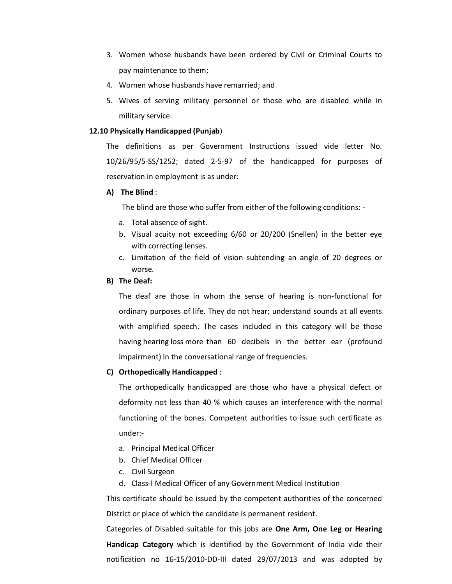- 3. Women whose husbands have been ordered by Civil or Criminal Courts to pay maintenance to them;
- 4. Women whose husbands have remarried; and
- 5. Wives of serving military personnel or those who are disabled while in military service.

## **12.10 Physically Handicapped (Punjab**)

The definitions as per Government Instructions issued vide letter No. 10/26/95/5-SS/1252; dated 2-5-97 of the handicapped for purposes of reservation in employment is as under:

## **A) The Blind** :

The blind are those who suffer from either of the following conditions: -

- a. Total absence of sight.
- b. Visual acuity not exceeding 6/60 or 20/200 (Snellen) in the better eye with correcting lenses.
- c. Limitation of the field of vision subtending an angle of 20 degrees or worse.

### **B) The Deaf:**

The deaf are those in whom the sense of hearing is non-functional for ordinary purposes of life. They do not hear; understand sounds at all events with amplified speech. The cases included in this category will be those having hearing loss more than 60 decibels in the better ear (profound impairment) in the conversational range of frequencies.

### **C) Orthopedically Handicapped** :

The orthopedically handicapped are those who have a physical defect or deformity not less than 40 % which causes an interference with the normal functioning of the bones. Competent authorities to issue such certificate as under:-

- a. Principal Medical Officer
- b. Chief Medical Officer
- c. Civil Surgeon
- d. Class-I Medical Officer of any Government Medical Institution

This certificate should be issued by the competent authorities of the concerned District or place of which the candidate is permanent resident.

Categories of Disabled suitable for this jobs are **One Arm, One Leg or Hearing Handicap Category** which is identified by the Government of India vide their notification no 16-15/2010-DD-III dated 29/07/2013 and was adopted by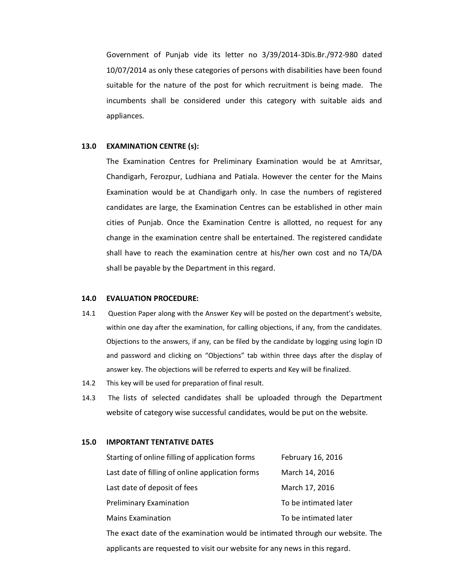Government of Punjab vide its letter no 3/39/2014-3Dis.Br./972-980 dated 10/07/2014 as only these categories of persons with disabilities have been found suitable for the nature of the post for which recruitment is being made. The incumbents shall be considered under this category with suitable aids and appliances.

#### **13.0 EXAMINATION CENTRE (s):**

The Examination Centres for Preliminary Examination would be at Amritsar, Chandigarh, Ferozpur, Ludhiana and Patiala. However the center for the Mains Examination would be at Chandigarh only. In case the numbers of registered candidates are large, the Examination Centres can be established in other main cities of Punjab. Once the Examination Centre is allotted, no request for any change in the examination centre shall be entertained. The registered candidate shall have to reach the examination centre at his/her own cost and no TA/DA shall be payable by the Department in this regard.

#### **14.0 EVALUATION PROCEDURE:**

- 14.1 Question Paper along with the Answer Key will be posted on the department's website, within one day after the examination, for calling objections, if any, from the candidates. Objections to the answers, if any, can be filed by the candidate by logging using login ID and password and clicking on "Objections" tab within three days after the display of answer key. The objections will be referred to experts and Key will be finalized.
- 14.2 This key will be used for preparation of final result.
- 14.3 The lists of selected candidates shall be uploaded through the Department website of category wise successful candidates, would be put on the website.

#### **15.0 IMPORTANT TENTATIVE DATES**

| Starting of online filling of application forms  | February 16, 2016     |
|--------------------------------------------------|-----------------------|
| Last date of filling of online application forms | March 14, 2016        |
| Last date of deposit of fees                     | March 17, 2016        |
| <b>Preliminary Examination</b>                   | To be intimated later |
| <b>Mains Examination</b>                         | To be intimated later |
|                                                  |                       |

The exact date of the examination would be intimated through our website. The applicants are requested to visit our website for any news in this regard.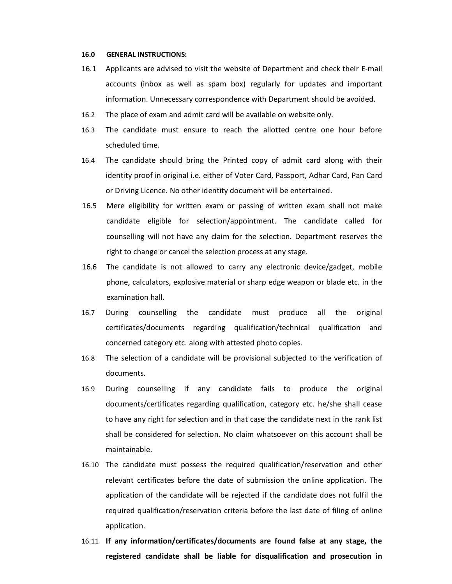#### **16.0 GENERAL INSTRUCTIONS:**

- 16.1 Applicants are advised to visit the website of Department and check their E-mail accounts (inbox as well as spam box) regularly for updates and important information. Unnecessary correspondence with Department should be avoided.
- 16.2 The place of exam and admit card will be available on website only.
- 16.3 The candidate must ensure to reach the allotted centre one hour before scheduled time.
- 16.4 The candidate should bring the Printed copy of admit card along with their identity proof in original i.e. either of Voter Card, Passport, Adhar Card, Pan Card or Driving Licence. No other identity document will be entertained.
- 16.5 Mere eligibility for written exam or passing of written exam shall not make candidate eligible for selection/appointment. The candidate called for counselling will not have any claim for the selection. Department reserves the right to change or cancel the selection process at any stage.
- 16.6 The candidate is not allowed to carry any electronic device/gadget, mobile phone, calculators, explosive material or sharp edge weapon or blade etc. in the examination hall.
- 16.7 During counselling the candidate must produce all the original certificates/documents regarding qualification/technical qualification and concerned category etc. along with attested photo copies.
- 16.8 The selection of a candidate will be provisional subjected to the verification of documents.
- 16.9 During counselling if any candidate fails to produce the original documents/certificates regarding qualification, category etc. he/she shall cease to have any right for selection and in that case the candidate next in the rank list shall be considered for selection. No claim whatsoever on this account shall be maintainable.
- 16.10 The candidate must possess the required qualification/reservation and other relevant certificates before the date of submission the online application. The application of the candidate will be rejected if the candidate does not fulfil the required qualification/reservation criteria before the last date of filing of online application.
- 16.11 **If any information/certificates/documents are found false at any stage, the registered candidate shall be liable for disqualification and prosecution in**